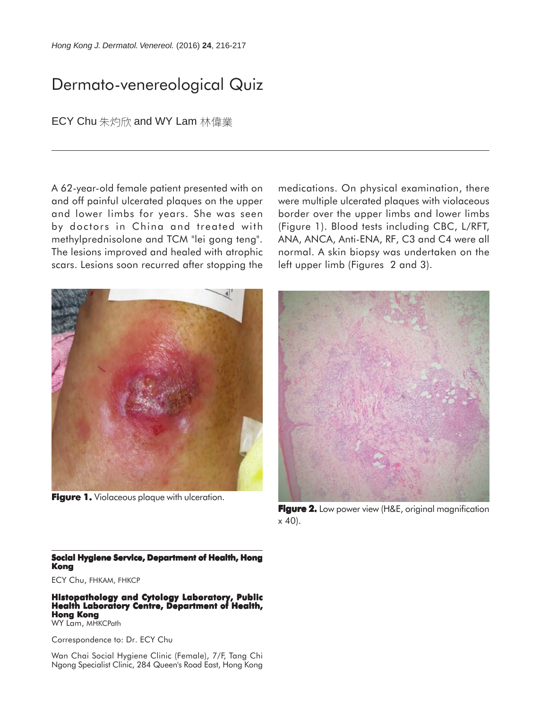## Dermato-venereological Quiz

ECY Chu 朱灼欣 and WY Lam 林偉業

A 62-year-old female patient presented with on and off painful ulcerated plaques on the upper and lower limbs for years. She was seen by doctors in China and treated with methylprednisolone and TCM "lei gong teng". The lesions improved and healed with atrophic scars. Lesions soon recurred after stopping the



**Figure 1.** Violaceous plaque with ulceration.

medications. On physical examination, there were multiple ulcerated plaques with violaceous border over the upper limbs and lower limbs (Figure 1). Blood tests including CBC, L/RFT, ANA, ANCA, Anti-ENA, RF, C3 and C4 were all normal. A skin biopsy was undertaken on the left upper limb (Figures 2 and 3).



**Figure 2.** Low power view (H&E, original magnification  $\times$  40).

## **Social Hygiene Service, Department of Health, Hong Kong**

ECY Chu, FHKAM, FHKCP

**Histopathology and Cytology Laboratory, Public Health Laboratory Centre, Department of Health, Hong Kong**

WY Lam, MHKCPath

Correspondence to: Dr. ECY Chu

Wan Chai Social Hygiene Clinic (Female), 7/F, Tang Chi Ngong Specialist Clinic, 284 Queen's Road East, Hong Kong